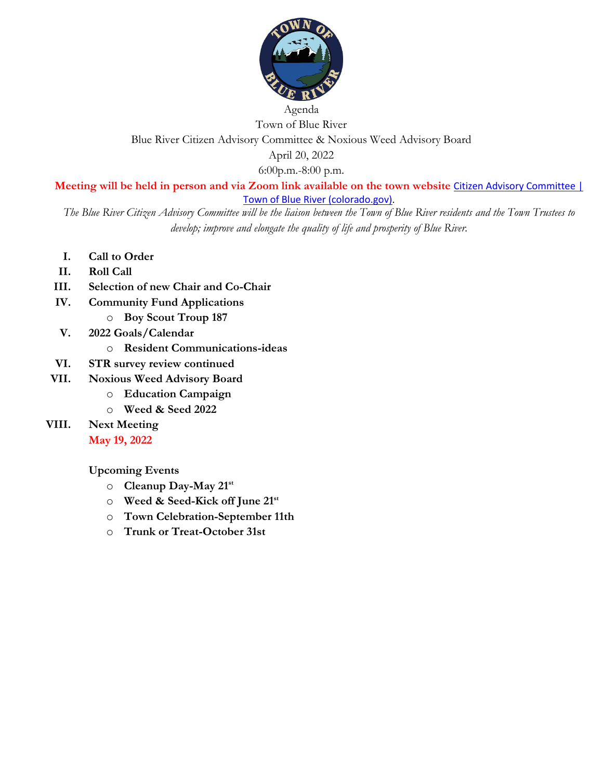

## Agenda Town of Blue River Blue River Citizen Advisory Committee & Noxious Weed Advisory Board April 20, 2022

6:00p.m.-8:00 p.m.

**Meeting will be held in person and via Zoom link available on the town website** [Citizen Advisory Committee |](https://townofblueriver.colorado.gov/board-of-trustees/commissions/committees/citizen-advisory-committee)  [Town of Blue River \(colorado.gov\)](https://townofblueriver.colorado.gov/board-of-trustees/commissions/committees/citizen-advisory-committee).

*The Blue River Citizen Advisory Committee will be the liaison between the Town of Blue River residents and the Town Trustees to develop; improve and elongate the quality of life and prosperity of Blue River.*

- **I. Call to Order**
- **II. Roll Call**
- **III. Selection of new Chair and Co-Chair**
- **IV. Community Fund Applications**
	- o **Boy Scout Troup 187**
- **V. 2022 Goals/Calendar**
	- o **Resident Communications-ideas**
- **VI. STR survey review continued**
- **VII. Noxious Weed Advisory Board**
	- o **Education Campaign**
	- o **Weed & Seed 2022**
- **VIII. Next Meeting May 19, 2022**

**Upcoming Events**

- o **Cleanup Day-May 21st**
- o **Weed & Seed-Kick off June 21st**
- o **Town Celebration-September 11th**
- o **Trunk or Treat-October 31st**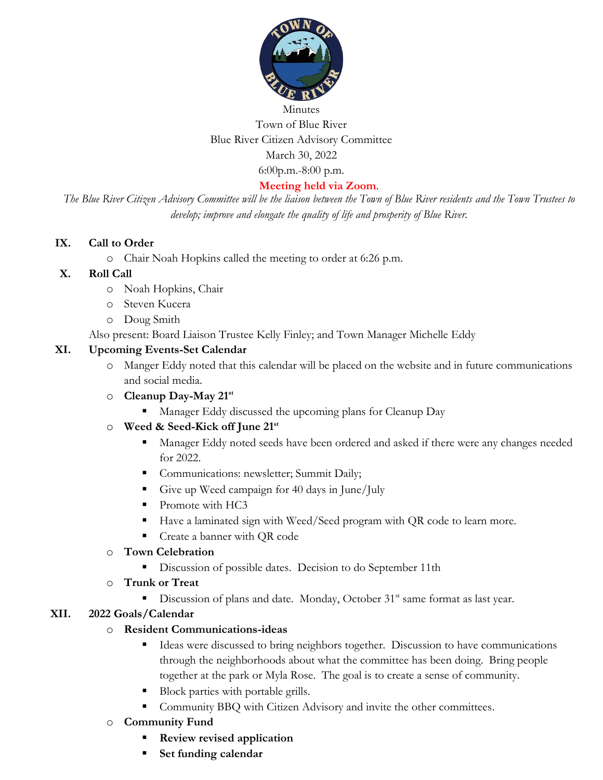

# Minutes Town of Blue River Blue River Citizen Advisory Committee March 30, 2022 6:00p.m.-8:00 p.m.

#### **Meeting held via Zoom**.

*The Blue River Citizen Advisory Committee will be the liaison between the Town of Blue River residents and the Town Trustees to develop; improve and elongate the quality of life and prosperity of Blue River.*

#### **IX. Call to Order**

o Chair Noah Hopkins called the meeting to order at 6:26 p.m.

#### **X. Roll Call**

- o Noah Hopkins, Chair
- o Steven Kucera
- o Doug Smith

Also present: Board Liaison Trustee Kelly Finley; and Town Manager Michelle Eddy

#### **XI. Upcoming Events-Set Calendar**

- o Manger Eddy noted that this calendar will be placed on the website and in future communications and social media.
- o **Cleanup Day-May 21st**
	- Manager Eddy discussed the upcoming plans for Cleanup Day

#### o **Weed & Seed-Kick off June 21 st**

- Manager Eddy noted seeds have been ordered and asked if there were any changes needed for 2022.
- **Communications: newsletter; Summit Daily;**
- Give up Weed campaign for 40 days in June/July
- Promote with HC3
- Have a laminated sign with Weed/Seed program with QR code to learn more.
- **•** Create a banner with QR code

#### o **Town Celebration**

**•** Discussion of possible dates. Decision to do September 11th

#### o **Trunk or Treat**

■ Discussion of plans and date. Monday, October 31<sup>st</sup> same format as last year.

#### **XII. 2022 Goals/Calendar**

#### o **Resident Communications-ideas**

- Ideas were discussed to bring neighbors together. Discussion to have communications through the neighborhoods about what the committee has been doing. Bring people together at the park or Myla Rose. The goal is to create a sense of community.
- Block parties with portable grills.
- **Community BBQ with Citizen Advisory and invite the other committees.**
- o **Community Fund**
	- **Review revised application**
	- Set funding calendar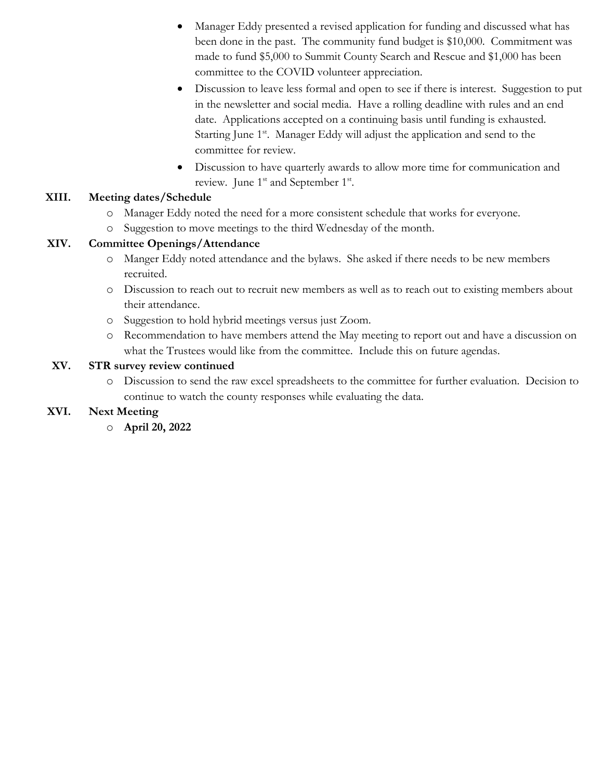- Manager Eddy presented a revised application for funding and discussed what has been done in the past. The community fund budget is \$10,000. Commitment was made to fund \$5,000 to Summit County Search and Rescue and \$1,000 has been committee to the COVID volunteer appreciation.
- Discussion to leave less formal and open to see if there is interest. Suggestion to put in the newsletter and social media. Have a rolling deadline with rules and an end date. Applications accepted on a continuing basis until funding is exhausted. Starting June 1<sup>st</sup>. Manager Eddy will adjust the application and send to the committee for review.
- Discussion to have quarterly awards to allow more time for communication and review. June  $1^{st}$  and September  $1^{st}$ .

## **XIII. Meeting dates/Schedule**

- o Manager Eddy noted the need for a more consistent schedule that works for everyone.
- o Suggestion to move meetings to the third Wednesday of the month.

## **XIV. Committee Openings/Attendance**

- o Manger Eddy noted attendance and the bylaws. She asked if there needs to be new members recruited.
- o Discussion to reach out to recruit new members as well as to reach out to existing members about their attendance.
- o Suggestion to hold hybrid meetings versus just Zoom.
- o Recommendation to have members attend the May meeting to report out and have a discussion on what the Trustees would like from the committee. Include this on future agendas.

## **XV. STR survey review continued**

o Discussion to send the raw excel spreadsheets to the committee for further evaluation. Decision to continue to watch the county responses while evaluating the data.

# **XVI. Next Meeting**

o **April 20, 2022**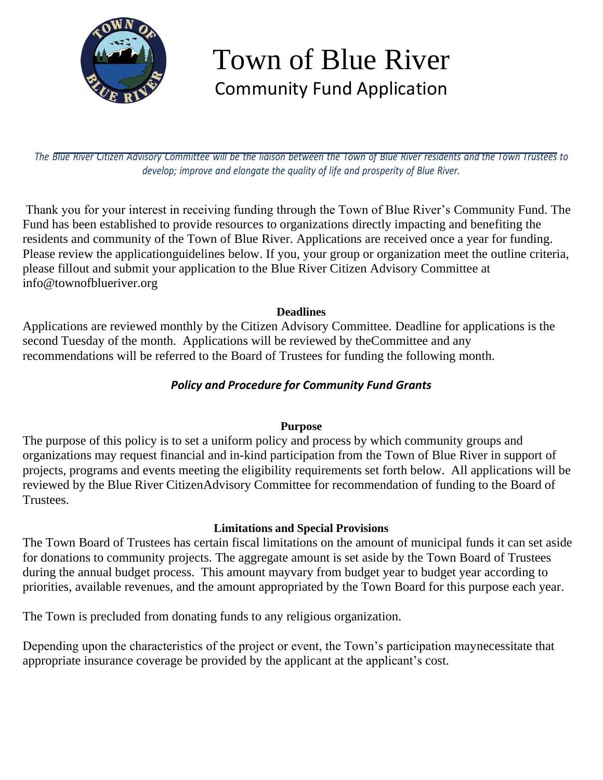

# Town of Blue River Community Fund Application

The Blue River Citizen Advisory Committee will be the liaison between the Town of Blue River residents and the Town Trustees to *develop; improve and elongate the quality of life and prosperity of Blue River.*

Thank you for your interest in receiving funding through the Town of Blue River's Community Fund. The Fund has been established to provide resources to organizations directly impacting and benefiting the residents and community of the Town of Blue River. Applications are received once a year for funding. Please review the applicationguidelines below. If you, your group or organization meet the outline criteria, please fillout and submit your application to the Blue River Citizen Advisory Committee at [info@townofblueriver.org](mailto:info@townofblueriver.org)

## **Deadlines**

Applications are reviewed monthly by the Citizen Advisory Committee. Deadline for applications is the second Tuesday of the month. Applications will be reviewed by theCommittee and any recommendations will be referred to the Board of Trustees for funding the following month.

# *Policy and Procedure for Community Fund Grants*

# **Purpose**

The purpose of this policy is to set a uniform policy and process by which community groups and organizations may request financial and in-kind participation from the Town of Blue River in support of projects, programs and events meeting the eligibility requirements set forth below. All applications will be reviewed by the Blue River CitizenAdvisory Committee for recommendation of funding to the Board of Trustees.

# **Limitations and Special Provisions**

The Town Board of Trustees has certain fiscal limitations on the amount of municipal funds it can set aside for donations to community projects. The aggregate amount is set aside by the Town Board of Trustees during the annual budget process. This amount mayvary from budget year to budget year according to priorities, available revenues, and the amount appropriated by the Town Board for this purpose each year.

The Town is precluded from donating funds to any religious organization.

Depending upon the characteristics of the project or event, the Town's participation maynecessitate that appropriate insurance coverage be provided by the applicant at the applicant's cost.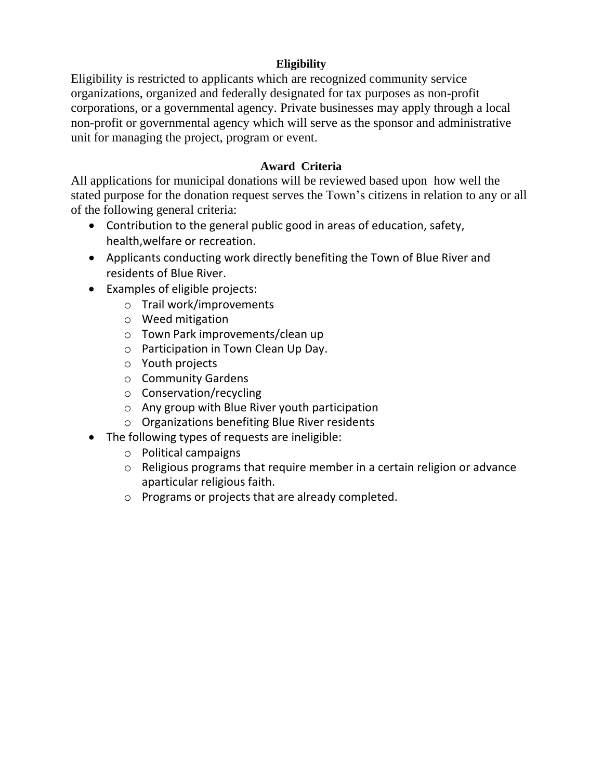# **Eligibility**

Eligibility is restricted to applicants which are recognized community service organizations, organized and federally designated for tax purposes as non-profit corporations, or a governmental agency. Private businesses may apply through a local non-profit or governmental agency which will serve as the sponsor and administrative unit for managing the project, program or event.

## **Award Criteria**

All applications for municipal donations will be reviewed based upon how well the stated purpose for the donation request serves the Town's citizens in relation to any or all of the following general criteria:

- Contribution to the general public good in areas of education, safety, health,welfare or recreation.
- Applicants conducting work directly benefiting the Town of Blue River and residents of Blue River.
- Examples of eligible projects:
	- o Trail work/improvements
	- o Weed mitigation
	- o Town Park improvements/clean up
	- o Participation in Town Clean Up Day.
	- o Youth projects
	- o Community Gardens
	- o Conservation/recycling
	- o Any group with Blue River youth participation
	- o Organizations benefiting Blue River residents
- The following types of requests are ineligible:
	- o Political campaigns
	- o Religious programs that require member in a certain religion or advance aparticular religious faith.
	- o Programs or projects that are already completed.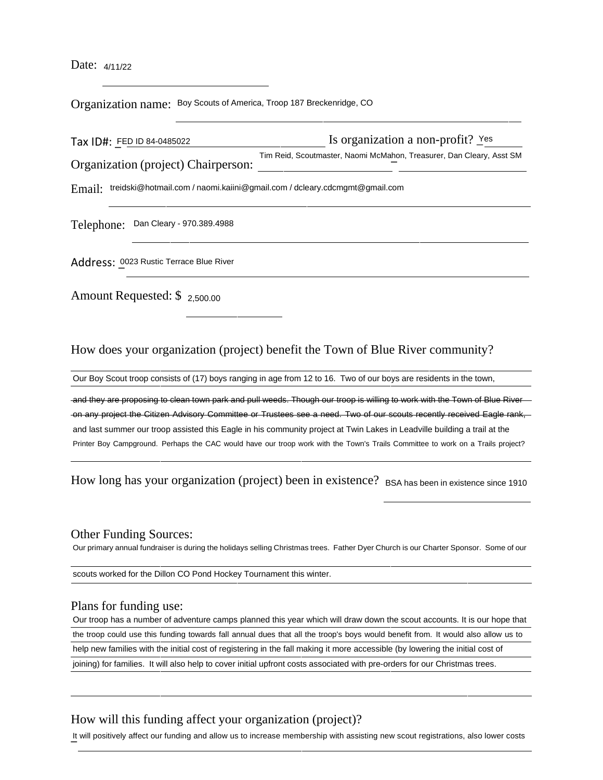Date: 4/11/22

Organization name: Boy Scouts of America, Troop <sup>187</sup> Breckenridge, CO

Tax ID#: FED ID 84-0485022 Organization (project) Chairperson: Is organization a non-profit?  $Y$ es Tim Reid, Scoutmaster, Naomi McMa\_hon, Treasurer, Dan Cleary, Asst SM

Email: [treidski@hotmail.com](mailto:treidski@hotmail.com) / [naomi.kaiini@gmail.com](mailto:naomi.kaiini@gmail.com) / [dcleary.cdcmgmt@gmail.com](mailto:dcleary.cdcmgmt@gmail.com)

Telephone: Dan Cleary - 970.389.4988

Address: 0023 Rustic Terrace Blue River

Amount Requested: \$ 2,500.00

How does your organization (project) benefit the Town of Blue River community?

Our Boy Scout troop consists of (17) boys ranging in age from 12 to 16. Two of our boys are residents in the town,

and they are proposing to clean town park and pull weeds. Though our troop is willing to work with the Town of Blue River on any project the Citizen Advisory Committee or Trustees see a need. Two of our scouts recently received Eagle rank, and last summer our troop assisted this Eagle in his community project at Twin Lakes in Leadville building a trail at the Printer Boy Campground. Perhaps the CAC would have our troop work with the Town's Trails Committee to work on a Trails project?

How long has your organization (project) been in existence? BSA has been in existence since 1910

#### Other Funding Sources:

Our primary annual fundraiser is during the holidays selling Christmas trees. Father Dyer Church is our Charter Sponsor. Some of our

scouts worked for the Dillon CO Pond Hockey Tournament this winter.

#### Plans for funding use:

Our troop has a number of adventure camps planned this year which will draw down the scout accounts. It is our hope that the troop could use this funding towards fall annual dues that all the troop's boys would benefit from. It would also allow us to help new families with the initial cost of registering in the fall making it more accessible (by lowering the initial cost of joining) for families. It will also help to cover initial upfront costs associated with pre-orders for our Christmas trees.

#### How will this funding affect your organization (project)?

It will positively affect our funding and allow us to increase membership with assisting new scout registrations, also lower costs